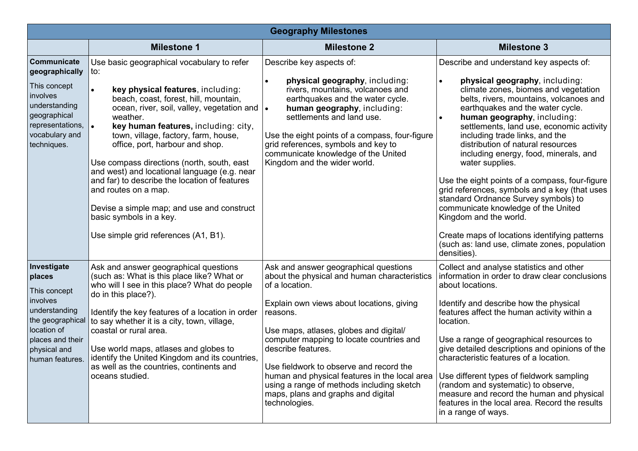| <b>Geography Milestones</b>                                                                                                                                  |                                                                                                                                                                                                                                                                                                                                                                                                                                                                                                                                                                                                                   |                                                                                                                                                                                                                                                                                                                                                                                                                                                                              |                                                                                                                                                                                                                                                                                                                                                                                                                                                                                                                                                                                                                                                                                                                                             |  |  |  |
|--------------------------------------------------------------------------------------------------------------------------------------------------------------|-------------------------------------------------------------------------------------------------------------------------------------------------------------------------------------------------------------------------------------------------------------------------------------------------------------------------------------------------------------------------------------------------------------------------------------------------------------------------------------------------------------------------------------------------------------------------------------------------------------------|------------------------------------------------------------------------------------------------------------------------------------------------------------------------------------------------------------------------------------------------------------------------------------------------------------------------------------------------------------------------------------------------------------------------------------------------------------------------------|---------------------------------------------------------------------------------------------------------------------------------------------------------------------------------------------------------------------------------------------------------------------------------------------------------------------------------------------------------------------------------------------------------------------------------------------------------------------------------------------------------------------------------------------------------------------------------------------------------------------------------------------------------------------------------------------------------------------------------------------|--|--|--|
|                                                                                                                                                              | <b>Milestone 1</b>                                                                                                                                                                                                                                                                                                                                                                                                                                                                                                                                                                                                | <b>Milestone 2</b>                                                                                                                                                                                                                                                                                                                                                                                                                                                           | <b>Milestone 3</b>                                                                                                                                                                                                                                                                                                                                                                                                                                                                                                                                                                                                                                                                                                                          |  |  |  |
| Communicate<br>geographically<br>This concept<br>involves<br>understanding<br>geographical<br>representations,<br>vocabulary and<br>techniques.              | Use basic geographical vocabulary to refer<br>to:<br>key physical features, including:<br>beach, coast, forest, hill, mountain,<br>ocean, river, soil, valley, vegetation and<br>weather.<br>key human features, including: city,<br>$\bullet$<br>town, village, factory, farm, house,<br>office, port, harbour and shop.<br>Use compass directions (north, south, east<br>and west) and locational language (e.g. near<br>and far) to describe the location of features<br>and routes on a map.<br>Devise a simple map; and use and construct<br>basic symbols in a key.<br>Use simple grid references (A1, B1). | Describe key aspects of:<br>physical geography, including:<br>rivers, mountains, volcanoes and<br>earthquakes and the water cycle.<br>human geography, including:<br>settlements and land use.<br>Use the eight points of a compass, four-figure<br>grid references, symbols and key to<br>communicate knowledge of the United<br>Kingdom and the wider world.                                                                                                               | Describe and understand key aspects of:<br>physical geography, including:<br>climate zones, biomes and vegetation<br>belts, rivers, mountains, volcanoes and<br>earthquakes and the water cycle.<br>human geography, including:<br>settlements, land use, economic activity<br>including trade links, and the<br>distribution of natural resources<br>including energy, food, minerals, and<br>water supplies.<br>Use the eight points of a compass, four-figure<br>grid references, symbols and a key (that uses<br>standard Ordnance Survey symbols) to<br>communicate knowledge of the United<br>Kingdom and the world.<br>Create maps of locations identifying patterns<br>(such as: land use, climate zones, population<br>densities). |  |  |  |
| Investigate<br>places<br>This concept<br>involves<br>understanding<br>the geographical<br>location of<br>places and their<br>physical and<br>human features. | Ask and answer geographical questions<br>(such as: What is this place like? What or<br>who will I see in this place? What do people<br>do in this place?).<br>Identify the key features of a location in order<br>to say whether it is a city, town, village,<br>coastal or rural area.<br>Use world maps, atlases and globes to<br>identify the United Kingdom and its countries,<br>as well as the countries, continents and<br>oceans studied.                                                                                                                                                                 | Ask and answer geographical questions<br>about the physical and human characteristics<br>of a location.<br>Explain own views about locations, giving<br>reasons.<br>Use maps, atlases, globes and digital/<br>computer mapping to locate countries and<br>describe features.<br>Use fieldwork to observe and record the<br>human and physical features in the local area<br>using a range of methods including sketch<br>maps, plans and graphs and digital<br>technologies. | Collect and analyse statistics and other<br>information in order to draw clear conclusions<br>about locations.<br>Identify and describe how the physical<br>features affect the human activity within a<br>location.<br>Use a range of geographical resources to<br>give detailed descriptions and opinions of the<br>characteristic features of a location.<br>Use different types of fieldwork sampling<br>(random and systematic) to observe,<br>measure and record the human and physical<br>features in the local area. Record the results<br>in a range of ways.                                                                                                                                                                      |  |  |  |